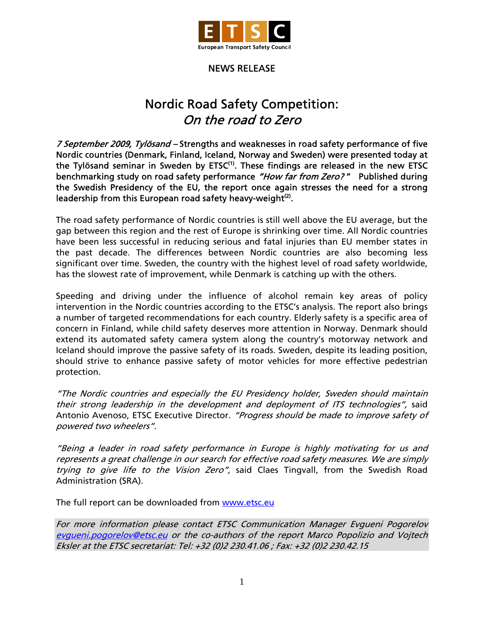

## NEWS RELEASE

## Nordic Road Safety Competition: On the road to Zero

7 September 2009, Tylösand – Strengths and weaknesses in road safety performance of five Nordic countries (Denmark, Finland, Iceland, Norway and Sweden) were presented today at the Tylösand seminar in Sweden by  $ETSC^{(1)}$ . These findings are released in the new ETSC benchmarking study on road safety performance "How far from Zero?" Published during the Swedish Presidency of the EU, the report once again stresses the need for a strong leadership from this European road safety heavy-weight $(2)$ .

The road safety performance of Nordic countries is still well above the EU average, but the gap between this region and the rest of Europe is shrinking over time. All Nordic countries have been less successful in reducing serious and fatal injuries than EU member states in the past decade. The differences between Nordic countries are also becoming less significant over time. Sweden, the country with the highest level of road safety worldwide, has the slowest rate of improvement, while Denmark is catching up with the others.

Speeding and driving under the influence of alcohol remain key areas of policy intervention in the Nordic countries according to the ETSC's analysis. The report also brings a number of targeted recommendations for each country. Elderly safety is a specific area of concern in Finland, while child safety deserves more attention in Norway. Denmark should extend its automated safety camera system along the country's motorway network and Iceland should improve the passive safety of its roads. Sweden, despite its leading position, should strive to enhance passive safety of motor vehicles for more effective pedestrian protection.

"The Nordic countries and especially the EU Presidency holder, Sweden should maintain their strong leadership in the development and deployment of ITS technologies", said Antonio Avenoso, ETSC Executive Director. "Progress should be made to improve safety of powered two wheelers".

"Being a leader in road safety performance in Europe is highly motivating for us and represents a great challenge in our search for effective road safety measures. We are simply trying to give life to the Vision Zero", said Claes Tingvall, from the Swedish Road Administration (SRA).

The full report can be downloaded from [www.etsc.eu](http://www.etsc.eu/documents/Road%20Safety%20in%20Nordic%20countries.pdf)

For more information please contact ETSC Communication Manager Evgueni Pogorelov evgueni.pogorelov@etsc.eu or the co-authors of the report Marco Popolizio and Vojtech Eksler at the ETSC secretariat: Tel: +32 (0)2 230.41.06 ; Fax: +32 (0)2 230.42.15